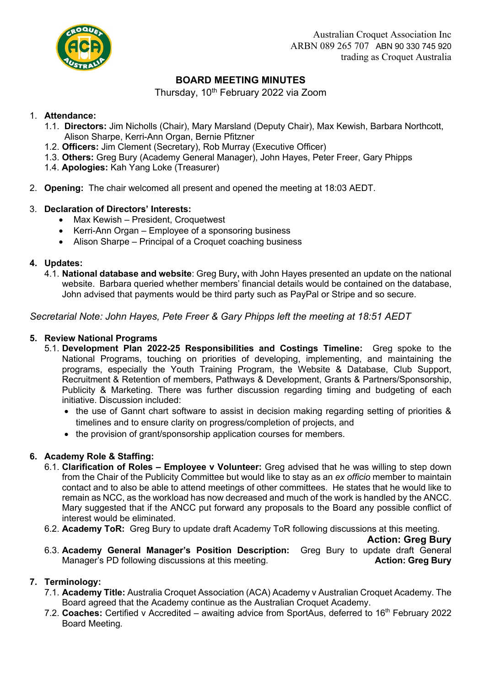

# **BOARD MEETING MINUTES**

Thursday, 10<sup>th</sup> February 2022 via Zoom

#### 1. **Attendance:**

- 1.1. **Directors:** Jim Nicholls (Chair), Mary Marsland (Deputy Chair), Max Kewish, Barbara Northcott, Alison Sharpe, Kerri-Ann Organ, Bernie Pfitzner
- 1.2. **Officers:** Jim Clement (Secretary), Rob Murray (Executive Officer)
- 1.3. **Others:** Greg Bury (Academy General Manager), John Hayes, Peter Freer, Gary Phipps
- 1.4. **Apologies:** Kah Yang Loke (Treasurer)
- 2. **Opening:** The chair welcomed all present and opened the meeting at 18:03 AEDT.

## 3. **Declaration of Directors' Interests:**

- Max Kewish President, Croquetwest
- Kerri-Ann Organ Employee of a sponsoring business
- Alison Sharpe Principal of a Croquet coaching business

## **4. Updates:**

4.1. **National database and website**: Greg Bury**,** with John Hayes presented an update on the national website. Barbara queried whether members' financial details would be contained on the database, John advised that payments would be third party such as PayPal or Stripe and so secure.

*Secretarial Note: John Hayes, Pete Freer & Gary Phipps left the meeting at 18:51 AEDT*

## **5. Review National Programs**

- 5.1. **Development Plan 2022-25 Responsibilities and Costings Timeline:** Greg spoke to the National Programs, touching on priorities of developing, implementing, and maintaining the programs, especially the Youth Training Program, the Website & Database, Club Support, Recruitment & Retention of members, Pathways & Development, Grants & Partners/Sponsorship, Publicity & Marketing. There was further discussion regarding timing and budgeting of each initiative. Discussion included:
	- the use of Gannt chart software to assist in decision making regarding setting of priorities & timelines and to ensure clarity on progress/completion of projects, and
	- the provision of grant/sponsorship application courses for members.

## **6. Academy Role & Staffing:**

- 6.1. **Clarification of Roles – Employee v Volunteer:** Greg advised that he was willing to step down from the Chair of the Publicity Committee but would like to stay as an *ex officio* member to maintain contact and to also be able to attend meetings of other committees. He states that he would like to remain as NCC, as the workload has now decreased and much of the work is handled by the ANCC. Mary suggested that if the ANCC put forward any proposals to the Board any possible conflict of interest would be eliminated.
- 6.2. **Academy ToR:** Greg Bury to update draft Academy ToR following discussions at this meeting.

**Action: Greg Bury**

6.3. **Academy General Manager's Position Description:** Greg Bury to update draft General Manager's PD following discussions at this meeting. **Action: Greg Bury**

## **7. Terminology:**

- 7.1. **Academy Title:** Australia Croquet Association (ACA) Academy v Australian Croquet Academy. The Board agreed that the Academy continue as the Australian Croquet Academy.
- 7.2. **Coaches:** Certified v Accredited *–* awaiting advice from SportAus, deferred to 16th February 2022 Board Meeting*.*